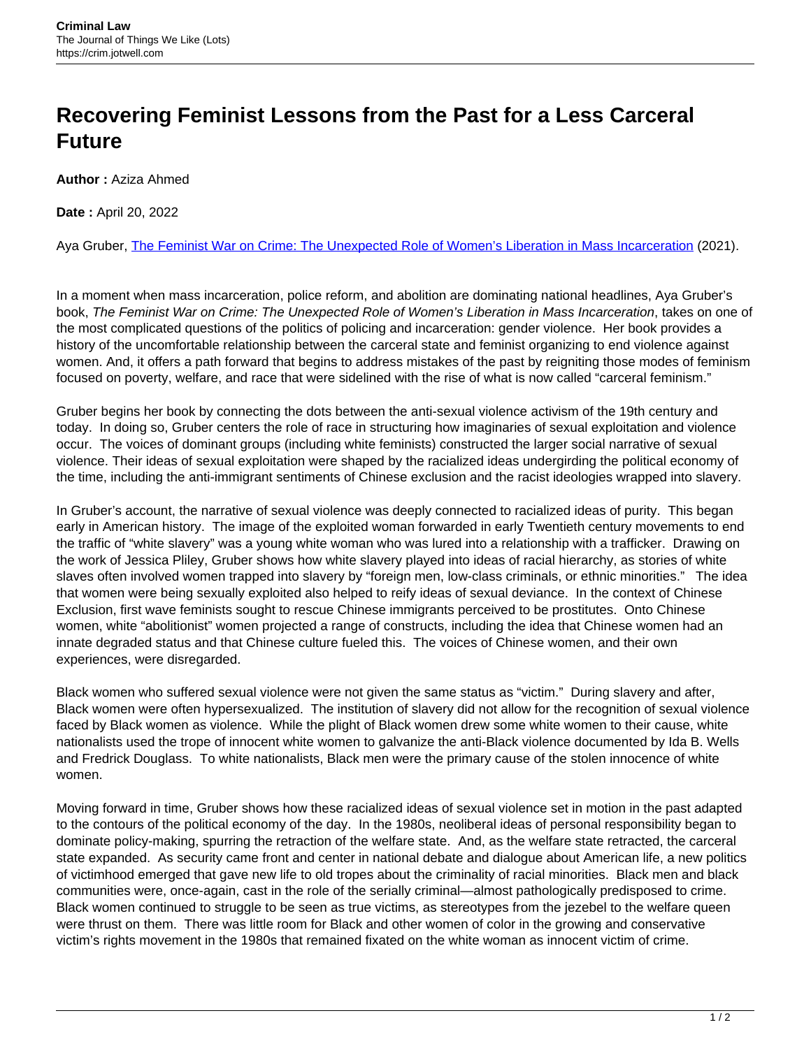## **Recovering Feminist Lessons from the Past for a Less Carceral Future**

**Author :** Aziza Ahmed

**Date :** April 20, 2022

Aya Gruber, [The Feminist War on Crime: The Unexpected Role of Women's Liberation in Mass Incarceration](https://www.ucpress.edu/book/9780520385818/the-feminist-war-on-crime) (2021).

In a moment when mass incarceration, police reform, and abolition are dominating national headlines, Aya Gruber's book, The Feminist War on Crime: The Unexpected Role of Women's Liberation in Mass Incarceration, takes on one of the most complicated questions of the politics of policing and incarceration: gender violence. Her book provides a history of the uncomfortable relationship between the carceral state and feminist organizing to end violence against women. And, it offers a path forward that begins to address mistakes of the past by reigniting those modes of feminism focused on poverty, welfare, and race that were sidelined with the rise of what is now called "carceral feminism."

Gruber begins her book by connecting the dots between the anti-sexual violence activism of the 19th century and today. In doing so, Gruber centers the role of race in structuring how imaginaries of sexual exploitation and violence occur. The voices of dominant groups (including white feminists) constructed the larger social narrative of sexual violence. Their ideas of sexual exploitation were shaped by the racialized ideas undergirding the political economy of the time, including the anti-immigrant sentiments of Chinese exclusion and the racist ideologies wrapped into slavery.

In Gruber's account, the narrative of sexual violence was deeply connected to racialized ideas of purity. This began early in American history. The image of the exploited woman forwarded in early Twentieth century movements to end the traffic of "white slavery" was a young white woman who was lured into a relationship with a trafficker. Drawing on the work of Jessica Pliley, Gruber shows how white slavery played into ideas of racial hierarchy, as stories of white slaves often involved women trapped into slavery by "foreign men, low-class criminals, or ethnic minorities." The idea that women were being sexually exploited also helped to reify ideas of sexual deviance. In the context of Chinese Exclusion, first wave feminists sought to rescue Chinese immigrants perceived to be prostitutes. Onto Chinese women, white "abolitionist" women projected a range of constructs, including the idea that Chinese women had an innate degraded status and that Chinese culture fueled this. The voices of Chinese women, and their own experiences, were disregarded.

Black women who suffered sexual violence were not given the same status as "victim." During slavery and after, Black women were often hypersexualized. The institution of slavery did not allow for the recognition of sexual violence faced by Black women as violence. While the plight of Black women drew some white women to their cause, white nationalists used the trope of innocent white women to galvanize the anti-Black violence documented by Ida B. Wells and Fredrick Douglass. To white nationalists, Black men were the primary cause of the stolen innocence of white women.

Moving forward in time, Gruber shows how these racialized ideas of sexual violence set in motion in the past adapted to the contours of the political economy of the day. In the 1980s, neoliberal ideas of personal responsibility began to dominate policy-making, spurring the retraction of the welfare state. And, as the welfare state retracted, the carceral state expanded. As security came front and center in national debate and dialogue about American life, a new politics of victimhood emerged that gave new life to old tropes about the criminality of racial minorities. Black men and black communities were, once-again, cast in the role of the serially criminal—almost pathologically predisposed to crime. Black women continued to struggle to be seen as true victims, as stereotypes from the jezebel to the welfare queen were thrust on them. There was little room for Black and other women of color in the growing and conservative victim's rights movement in the 1980s that remained fixated on the white woman as innocent victim of crime.